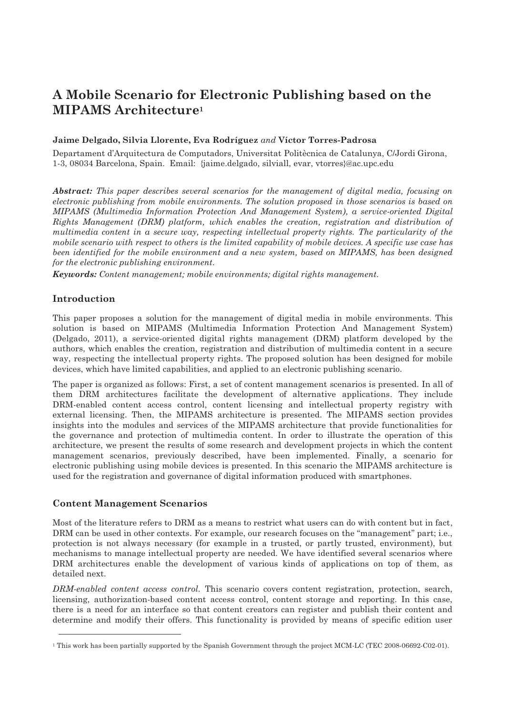# **A Mobile Scenario for Electronic Publishing based on the MIPAMS Architecture1**

# **Jaime Delgado, Silvia Llorente, Eva Rodríguez** *and* **Víctor Torres-Padrosa**

Departament d'Arquitectura de Computadors, Universitat Politècnica de Catalunya, C/Jordi Girona, 1-3, 08034 Barcelona, Spain. Email: {jaime.delgado, silviall, evar, vtorres}@ac.upc.edu

*Abstract: This paper describes several scenarios for the management of digital media, focusing on electronic publishing from mobile environments. The solution proposed in those scenarios is based on MIPAMS (Multimedia Information Protection And Management System), a service-oriented Digital Rights Management (DRM) platform, which enables the creation, registration and distribution of multimedia content in a secure way, respecting intellectual property rights. The particularity of the mobile scenario with respect to others is the limited capability of mobile devices. A specific use case has been identified for the mobile environment and a new system, based on MIPAMS, has been designed for the electronic publishing environment.* 

*Keywords: Content management; mobile environments; digital rights management.*

# **Introduction**

1

This paper proposes a solution for the management of digital media in mobile environments. This solution is based on MIPAMS (Multimedia Information Protection And Management System) (Delgado, 2011), a service-oriented digital rights management (DRM) platform developed by the authors, which enables the creation, registration and distribution of multimedia content in a secure way, respecting the intellectual property rights. The proposed solution has been designed for mobile devices, which have limited capabilities, and applied to an electronic publishing scenario.

The paper is organized as follows: First, a set of content management scenarios is presented. In all of them DRM architectures facilitate the development of alternative applications. They include DRM-enabled content access control, content licensing and intellectual property registry with external licensing. Then, the MIPAMS architecture is presented. The MIPAMS section provides insights into the modules and services of the MIPAMS architecture that provide functionalities for the governance and protection of multimedia content. In order to illustrate the operation of this architecture, we present the results of some research and development projects in which the content management scenarios, previously described, have been implemented. Finally, a scenario for electronic publishing using mobile devices is presented. In this scenario the MIPAMS architecture is used for the registration and governance of digital information produced with smartphones.

# **Content Management Scenarios**

Most of the literature refers to DRM as a means to restrict what users can do with content but in fact, DRM can be used in other contexts. For example, our research focuses on the "management" part; i.e., protection is not always necessary (for example in a trusted, or partly trusted, environment), but mechanisms to manage intellectual property are needed. We have identified several scenarios where DRM architectures enable the development of various kinds of applications on top of them, as detailed next.

*DRM-enabled content access control.* This scenario covers content registration, protection, search, licensing, authorization-based content access control, content storage and reporting. In this case, there is a need for an interface so that content creators can register and publish their content and determine and modify their offers. This functionality is provided by means of specific edition user

<sup>1</sup> This work has been partially supported by the Spanish Government through the project MCM-LC (TEC 2008-06692-C02-01).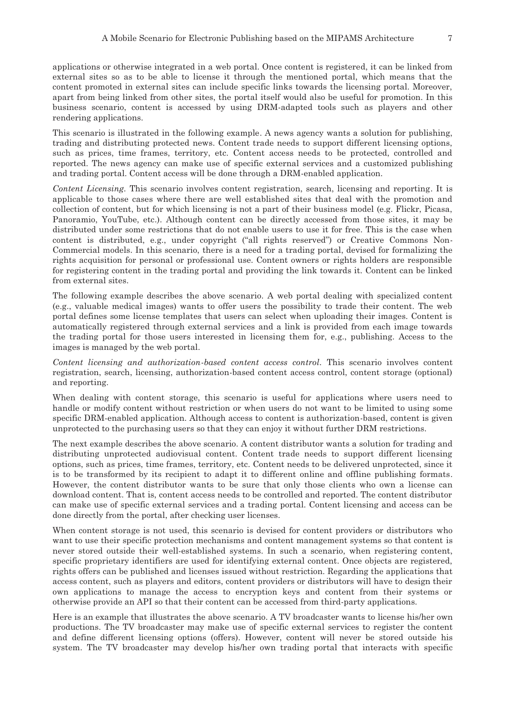applications or otherwise integrated in a web portal. Once content is registered, it can be linked from external sites so as to be able to license it through the mentioned portal, which means that the content promoted in external sites can include specific links towards the licensing portal. Moreover, apart from being linked from other sites, the portal itself would also be useful for promotion. In this business scenario, content is accessed by using DRM-adapted tools such as players and other rendering applications.

This scenario is illustrated in the following example. A news agency wants a solution for publishing, trading and distributing protected news. Content trade needs to support different licensing options, such as prices, time frames, territory, etc. Content access needs to be protected, controlled and reported. The news agency can make use of specific external services and a customized publishing and trading portal. Content access will be done through a DRM-enabled application.

*Content Licensing.* This scenario involves content registration, search, licensing and reporting. It is applicable to those cases where there are well established sites that deal with the promotion and collection of content, but for which licensing is not a part of their business model (e.g. Flickr, Picasa, Panoramio, YouTube, etc.). Although content can be directly accessed from those sites, it may be distributed under some restrictions that do not enable users to use it for free. This is the case when content is distributed, e.g., under copyright ("all rights reserved") or Creative Commons Non-Commercial models. In this scenario, there is a need for a trading portal, devised for formalizing the rights acquisition for personal or professional use. Content owners or rights holders are responsible for registering content in the trading portal and providing the link towards it. Content can be linked from external sites.

The following example describes the above scenario. A web portal dealing with specialized content (e.g., valuable medical images) wants to offer users the possibility to trade their content. The web portal defines some license templates that users can select when uploading their images. Content is automatically registered through external services and a link is provided from each image towards the trading portal for those users interested in licensing them for, e.g., publishing. Access to the images is managed by the web portal.

*Content licensing and authorization-based content access control.* This scenario involves content registration, search, licensing, authorization-based content access control, content storage (optional) and reporting.

When dealing with content storage, this scenario is useful for applications where users need to handle or modify content without restriction or when users do not want to be limited to using some specific DRM-enabled application. Although access to content is authorization-based, content is given unprotected to the purchasing users so that they can enjoy it without further DRM restrictions.

The next example describes the above scenario. A content distributor wants a solution for trading and distributing unprotected audiovisual content. Content trade needs to support different licensing options, such as prices, time frames, territory, etc. Content needs to be delivered unprotected, since it is to be transformed by its recipient to adapt it to different online and offline publishing formats. However, the content distributor wants to be sure that only those clients who own a license can download content. That is, content access needs to be controlled and reported. The content distributor can make use of specific external services and a trading portal. Content licensing and access can be done directly from the portal, after checking user licenses.

When content storage is not used, this scenario is devised for content providers or distributors who want to use their specific protection mechanisms and content management systems so that content is never stored outside their well-established systems. In such a scenario, when registering content, specific proprietary identifiers are used for identifying external content. Once objects are registered, rights offers can be published and licenses issued without restriction. Regarding the applications that access content, such as players and editors, content providers or distributors will have to design their own applications to manage the access to encryption keys and content from their systems or otherwise provide an API so that their content can be accessed from third-party applications.

Here is an example that illustrates the above scenario. A TV broadcaster wants to license his/her own productions. The TV broadcaster may make use of specific external services to register the content and define different licensing options (offers). However, content will never be stored outside his system. The TV broadcaster may develop his/her own trading portal that interacts with specific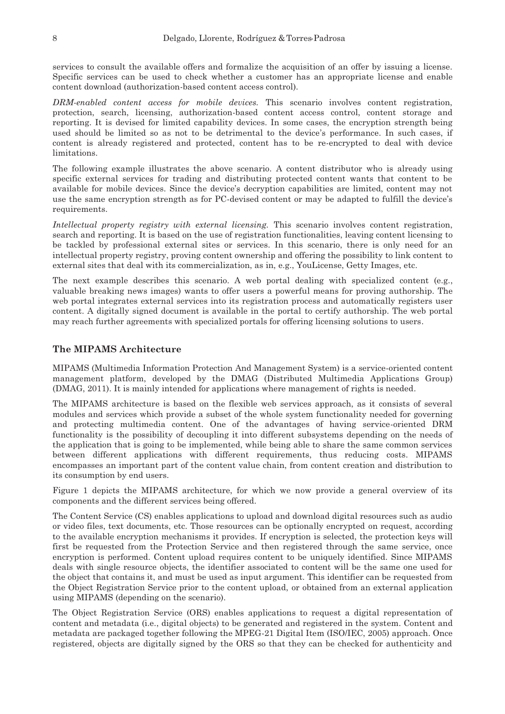services to consult the available offers and formalize the acquisition of an offer by issuing a license. Specific services can be used to check whether a customer has an appropriate license and enable content download (authorization-based content access control).

*DRM-enabled content access for mobile devices.* This scenario involves content registration, protection, search, licensing, authorization-based content access control, content storage and reporting. It is devised for limited capability devices. In some cases, the encryption strength being used should be limited so as not to be detrimental to the device's performance. In such cases, if content is already registered and protected, content has to be re-encrypted to deal with device limitations.

The following example illustrates the above scenario. A content distributor who is already using specific external services for trading and distributing protected content wants that content to be available for mobile devices. Since the device's decryption capabilities are limited, content may not use the same encryption strength as for PC-devised content or may be adapted to fulfill the device's requirements.

*Intellectual property registry with external licensing.* This scenario involves content registration, search and reporting. It is based on the use of registration functionalities, leaving content licensing to be tackled by professional external sites or services. In this scenario, there is only need for an intellectual property registry, proving content ownership and offering the possibility to link content to external sites that deal with its commercialization, as in, e.g., YouLicense, Getty Images, etc.

The next example describes this scenario. A web portal dealing with specialized content (e.g., valuable breaking news images) wants to offer users a powerful means for proving authorship. The web portal integrates external services into its registration process and automatically registers user content. A digitally signed document is available in the portal to certify authorship. The web portal may reach further agreements with specialized portals for offering licensing solutions to users.

## **The MIPAMS Architecture**

MIPAMS (Multimedia Information Protection And Management System) is a service-oriented content management platform, developed by the DMAG (Distributed Multimedia Applications Group) (DMAG, 2011). It is mainly intended for applications where management of rights is needed.

The MIPAMS architecture is based on the flexible web services approach, as it consists of several modules and services which provide a subset of the whole system functionality needed for governing and protecting multimedia content. One of the advantages of having service-oriented DRM functionality is the possibility of decoupling it into different subsystems depending on the needs of the application that is going to be implemented, while being able to share the same common services between different applications with different requirements, thus reducing costs. MIPAMS encompasses an important part of the content value chain, from content creation and distribution to its consumption by end users.

Figure 1 depicts the MIPAMS architecture, for which we now provide a general overview of its components and the different services being offered.

The Content Service (CS) enables applications to upload and download digital resources such as audio or video files, text documents, etc. Those resources can be optionally encrypted on request, according to the available encryption mechanisms it provides. If encryption is selected, the protection keys will first be requested from the Protection Service and then registered through the same service, once encryption is performed. Content upload requires content to be uniquely identified. Since MIPAMS deals with single resource objects, the identifier associated to content will be the same one used for the object that contains it, and must be used as input argument. This identifier can be requested from the Object Registration Service prior to the content upload, or obtained from an external application using MIPAMS (depending on the scenario).

The Object Registration Service (ORS) enables applications to request a digital representation of content and metadata (i.e., digital objects) to be generated and registered in the system. Content and metadata are packaged together following the MPEG-21 Digital Item (ISO/IEC, 2005) approach. Once registered, objects are digitally signed by the ORS so that they can be checked for authenticity and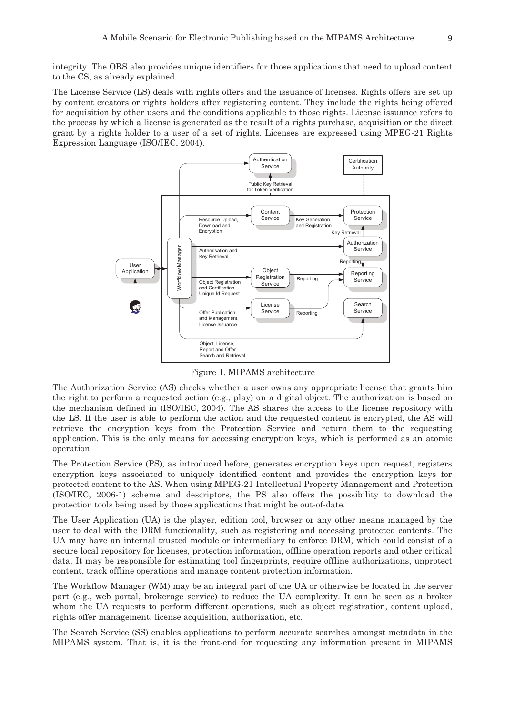integrity. The ORS also provides unique identifiers for those applications that need to upload content to the CS, as already explained.

The License Service (LS) deals with rights offers and the issuance of licenses. Rights offers are set up by content creators or rights holders after registering content. They include the rights being offered for acquisition by other users and the conditions applicable to those rights. License issuance refers to the process by which a license is generated as the result of a rights purchase, acquisition or the direct grant by a rights holder to a user of a set of rights. Licenses are expressed using MPEG-21 Rights Expression Language (ISO/IEC, 2004).



Figure 1. MIPAMS architecture

The Authorization Service (AS) checks whether a user owns any appropriate license that grants him the right to perform a requested action (e.g., play) on a digital object. The authorization is based on the mechanism defined in (ISO/IEC, 2004). The AS shares the access to the license repository with the LS. If the user is able to perform the action and the requested content is encrypted, the AS will retrieve the encryption keys from the Protection Service and return them to the requesting application. This is the only means for accessing encryption keys, which is performed as an atomic operation.

The Protection Service (PS), as introduced before, generates encryption keys upon request, registers encryption keys associated to uniquely identified content and provides the encryption keys for protected content to the AS. When using MPEG-21 Intellectual Property Management and Protection (ISO/IEC, 2006-1) scheme and descriptors, the PS also offers the possibility to download the protection tools being used by those applications that might be out-of-date.

The User Application (UA) is the player, edition tool, browser or any other means managed by the user to deal with the DRM functionality, such as registering and accessing protected contents. The UA may have an internal trusted module or intermediary to enforce DRM, which could consist of a secure local repository for licenses, protection information, offline operation reports and other critical data. It may be responsible for estimating tool fingerprints, require offline authorizations, unprotect content, track offline operations and manage content protection information.

The Workflow Manager (WM) may be an integral part of the UA or otherwise be located in the server part (e.g., web portal, brokerage service) to reduce the UA complexity. It can be seen as a broker whom the UA requests to perform different operations, such as object registration, content upload, rights offer management, license acquisition, authorization, etc.

The Search Service (SS) enables applications to perform accurate searches amongst metadata in the MIPAMS system. That is, it is the front-end for requesting any information present in MIPAMS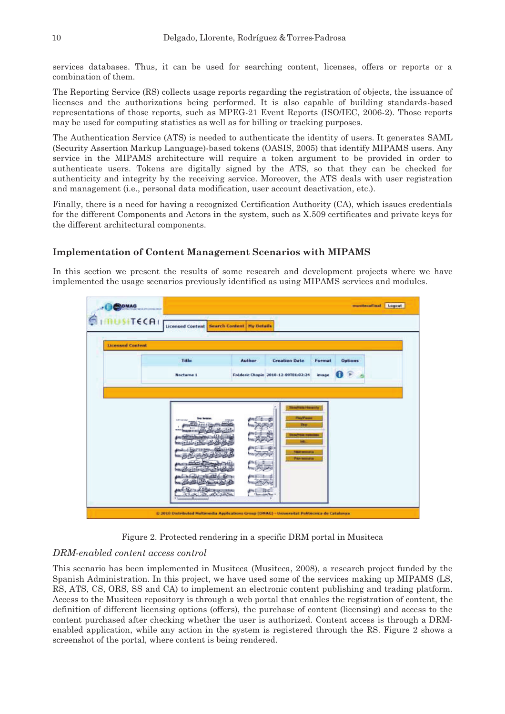services databases. Thus, it can be used for searching content, licenses, offers or reports or a combination of them.

The Reporting Service (RS) collects usage reports regarding the registration of objects, the issuance of licenses and the authorizations being performed. It is also capable of building standards-based representations of those reports, such as MPEG-21 Event Reports (ISO/IEC, 2006-2). Those reports may be used for computing statistics as well as for billing or tracking purposes.

The Authentication Service (ATS) is needed to authenticate the identity of users. It generates SAML (Security Assertion Markup Language)-based tokens (OASIS, 2005) that identify MIPAMS users. Any service in the MIPAMS architecture will require a token argument to be provided in order to authenticate users. Tokens are digitally signed by the ATS, so that they can be checked for authenticity and integrity by the receiving service. Moreover, the ATS deals with user registration and management (i.e., personal data modification, user account deactivation, etc.).

Finally, there is a need for having a recognized Certification Authority (CA), which issues credentials for the different Components and Actors in the system, such as X.509 certificates and private keys for the different architectural components.

# **Implementation of Content Management Scenarios with MIPAMS**

In this section we present the results of some research and development projects where we have implemented the usage scenarios previously identified as using MIPAMS services and modules.



Figure 2. Protected rendering in a specific DRM portal in Musiteca

### *DRM-enabled content access control*

This scenario has been implemented in Musiteca (Musiteca, 2008), a research project funded by the Spanish Administration. In this project, we have used some of the services making up MIPAMS (LS, RS, ATS, CS, ORS, SS and CA) to implement an electronic content publishing and trading platform. Access to the Musiteca repository is through a web portal that enables the registration of content, the definition of different licensing options (offers), the purchase of content (licensing) and access to the content purchased after checking whether the user is authorized. Content access is through a DRMenabled application, while any action in the system is registered through the RS. Figure 2 shows a screenshot of the portal, where content is being rendered.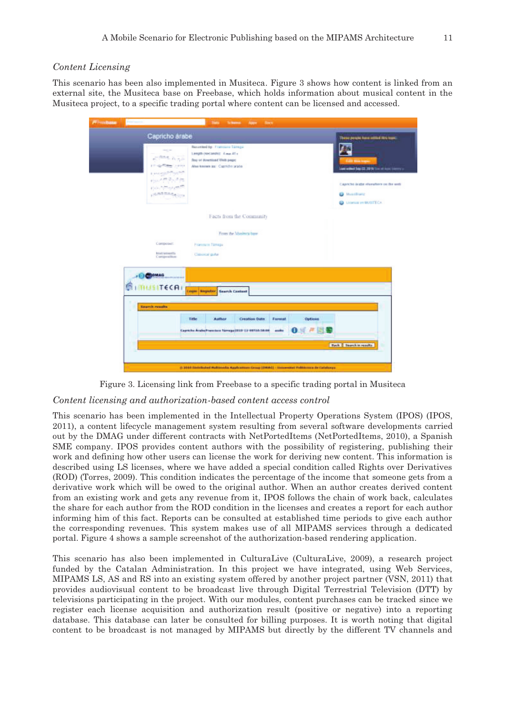### *Content Licensing*

This scenario has been also implemented in Musiteca. Figure 3 shows how content is linked from an external site, the Musiteca base on Freebase, which holds information about musical content in the Musiteca project, to a specific trading portal where content can be licensed and accessed.

| <b>PF machase</b> | Park Frees                                                                                                                         | <b>Take</b><br><b>Bock</b><br><b>Schons</b><br><b>BOTH</b>                                                                         |                                                                                                                                     |
|-------------------|------------------------------------------------------------------------------------------------------------------------------------|------------------------------------------------------------------------------------------------------------------------------------|-------------------------------------------------------------------------------------------------------------------------------------|
|                   | Capricho árabe                                                                                                                     | These points have retired like toyot.                                                                                              |                                                                                                                                     |
|                   | $-100 - 100$<br><b>RACAIN</b><br><b>PRODUCTS STOP</b><br>Lincoln Market<br>4 2 3 9 9 2 3 10<br>Fish Armora State<br><b>ARRESTS</b> | Recorded by: Pranciaco Tannas<br>Length (Necample): 4 mm 45 s<br>flery or download Visit pege:<br>Also keeses as Carritho scate    | Sampled Sep 22, 2016 for all locals<br>Capitchs inder elsewhere on the web<br><b>D</b> Matribural<br><b>CO.</b> License and BUSTECA |
|                   |                                                                                                                                    | Facts from the Community                                                                                                           |                                                                                                                                     |
|                   |                                                                                                                                    | From the Mashera base.                                                                                                             |                                                                                                                                     |
|                   | CONDITINE.<br><b>BEAUTASTERS</b><br>Currige-silban-                                                                                | <b>Frammen Tanage</b><br>Calcocal guitar                                                                                           |                                                                                                                                     |
|                   | <b>I CROWAG</b><br><b>MUSITECAL</b><br>Search maults                                                                               | Login Segrater Search Content                                                                                                      |                                                                                                                                     |
|                   |                                                                                                                                    | Title<br><b>Asther</b><br><b>Creation Date</b><br>Forenat<br>Capricho Arabe/Francisco Tármga (1919-13-0971/6/18/06)<br>and to<br>u | Options                                                                                                                             |
|                   |                                                                                                                                    |                                                                                                                                    | <b>Back I Teamble results</b>                                                                                                       |
|                   |                                                                                                                                    | (1.3014-0000 listed Automotiv Applications Cross (2004) - International Politicisms by California                                  |                                                                                                                                     |

Figure 3. Licensing link from Freebase to a specific trading portal in Musiteca

### *Content licensing and authorization-based content access control*

This scenario has been implemented in the Intellectual Property Operations System (IPOS) (IPOS, 2011), a content lifecycle management system resulting from several software developments carried out by the DMAG under different contracts with NetPortedItems (NetPortedItems, 2010), a Spanish SME company. IPOS provides content authors with the possibility of registering, publishing their work and defining how other users can license the work for deriving new content. This information is described using LS licenses, where we have added a special condition called Rights over Derivatives (ROD) (Torres, 2009). This condition indicates the percentage of the income that someone gets from a derivative work which will be owed to the original author. When an author creates derived content from an existing work and gets any revenue from it, IPOS follows the chain of work back, calculates the share for each author from the ROD condition in the licenses and creates a report for each author informing him of this fact. Reports can be consulted at established time periods to give each author the corresponding revenues. This system makes use of all MIPAMS services through a dedicated portal. Figure 4 shows a sample screenshot of the authorization-based rendering application.

This scenario has also been implemented in CulturaLive (CulturaLive, 2009), a research project funded by the Catalan Administration. In this project we have integrated, using Web Services, MIPAMS LS, AS and RS into an existing system offered by another project partner (VSN, 2011) that provides audiovisual content to be broadcast live through Digital Terrestrial Television (DTT) by televisions participating in the project. With our modules, content purchases can be tracked since we register each license acquisition and authorization result (positive or negative) into a reporting database. This database can later be consulted for billing purposes. It is worth noting that digital content to be broadcast is not managed by MIPAMS but directly by the different TV channels and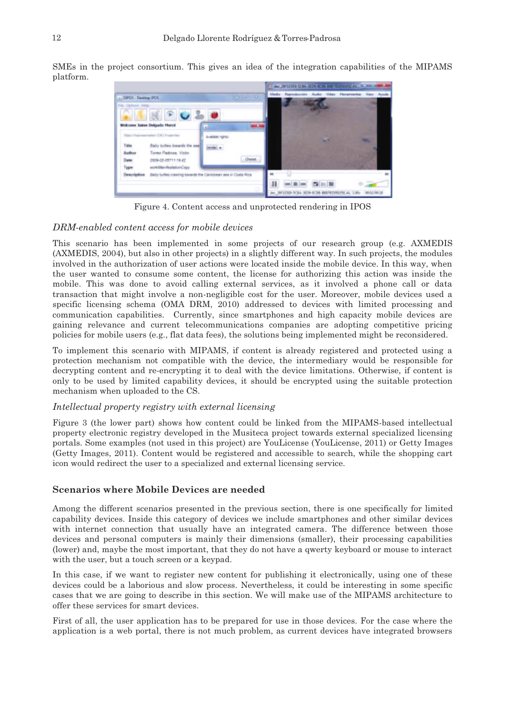SMEs in the project consortium. This gives an idea of the integration capabilities of the MIPAMS platform.



Figure 4. Content access and unprotected rendering in IPOS

### *DRM-enabled content access for mobile devices*

This scenario has been implemented in some projects of our research group (e.g. AXMEDIS (AXMEDIS, 2004), but also in other projects) in a slightly different way. In such projects, the modules involved in the authorization of user actions were located inside the mobile device. In this way, when the user wanted to consume some content, the license for authorizing this action was inside the mobile. This was done to avoid calling external services, as it involved a phone call or data transaction that might involve a non-negligible cost for the user. Moreover, mobile devices used a specific licensing schema (OMA DRM, 2010) addressed to devices with limited processing and communication capabilities. Currently, since smartphones and high capacity mobile devices are gaining relevance and current telecommunications companies are adopting competitive pricing policies for mobile users (e.g., flat data fees), the solutions being implemented might be reconsidered.

To implement this scenario with MIPAMS, if content is already registered and protected using a protection mechanism not compatible with the device, the intermediary would be responsible for decrypting content and re-encrypting it to deal with the device limitations. Otherwise, if content is only to be used by limited capability devices, it should be encrypted using the suitable protection mechanism when uploaded to the CS.

## *Intellectual property registry with external licensing*

Figure 3 (the lower part) shows how content could be linked from the MIPAMS-based intellectual property electronic registry developed in the Musiteca project towards external specialized licensing portals. Some examples (not used in this project) are YouLicense (YouLicense, 2011) or Getty Images (Getty Images, 2011). Content would be registered and accessible to search, while the shopping cart icon would redirect the user to a specialized and external licensing service.

# **Scenarios where Mobile Devices are needed**

Among the different scenarios presented in the previous section, there is one specifically for limited capability devices. Inside this category of devices we include smartphones and other similar devices with internet connection that usually have an integrated camera. The difference between those devices and personal computers is mainly their dimensions (smaller), their processing capabilities (lower) and, maybe the most important, that they do not have a qwerty keyboard or mouse to interact with the user, but a touch screen or a keypad.

In this case, if we want to register new content for publishing it electronically, using one of these devices could be a laborious and slow process. Nevertheless, it could be interesting in some specific cases that we are going to describe in this section. We will make use of the MIPAMS architecture to offer these services for smart devices.

First of all, the user application has to be prepared for use in those devices. For the case where the application is a web portal, there is not much problem, as current devices have integrated browsers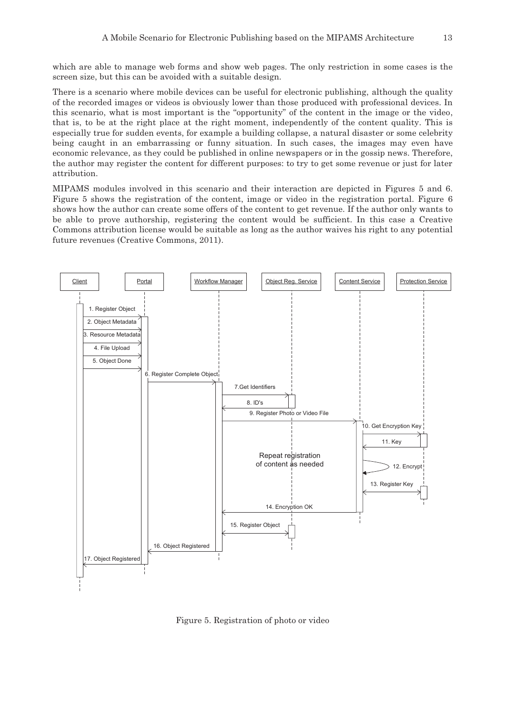which are able to manage web forms and show web pages. The only restriction in some cases is the screen size, but this can be avoided with a suitable design.

There is a scenario where mobile devices can be useful for electronic publishing, although the quality of the recorded images or videos is obviously lower than those produced with professional devices. In this scenario, what is most important is the "opportunity" of the content in the image or the video, that is, to be at the right place at the right moment, independently of the content quality. This is especially true for sudden events, for example a building collapse, a natural disaster or some celebrity being caught in an embarrassing or funny situation. In such cases, the images may even have economic relevance, as they could be published in online newspapers or in the gossip news. Therefore, the author may register the content for different purposes: to try to get some revenue or just for later attribution.

MIPAMS modules involved in this scenario and their interaction are depicted in Figures 5 and 6. Figure 5 shows the registration of the content, image or video in the registration portal. Figure 6 shows how the author can create some offers of the content to get revenue. If the author only wants to be able to prove authorship, registering the content would be sufficient. In this case a Creative Commons attribution license would be suitable as long as the author waives his right to any potential future revenues (Creative Commons, 2011).



Figure 5. Registration of photo or video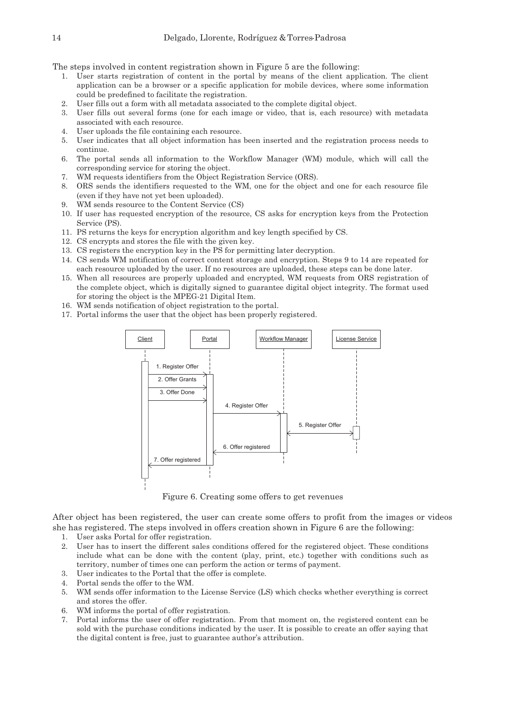The steps involved in content registration shown in Figure 5 are the following:

- 1. User starts registration of content in the portal by means of the client application. The client application can be a browser or a specific application for mobile devices, where some information could be predefined to facilitate the registration.
- 2. User fills out a form with all metadata associated to the complete digital object.
- 3. User fills out several forms (one for each image or video, that is, each resource) with metadata associated with each resource.
- 4. User uploads the file containing each resource.
- 5. User indicates that all object information has been inserted and the registration process needs to continue.
- 6. The portal sends all information to the Workflow Manager (WM) module, which will call the corresponding service for storing the object.
- 7. WM requests identifiers from the Object Registration Service (ORS).
- 8. ORS sends the identifiers requested to the WM, one for the object and one for each resource file (even if they have not yet been uploaded).
- 9. WM sends resource to the Content Service (CS)
- 10. If user has requested encryption of the resource, CS asks for encryption keys from the Protection Service (PS).
- 11. PS returns the keys for encryption algorithm and key length specified by CS.
- 12. CS encrypts and stores the file with the given key.
- 13. CS registers the encryption key in the PS for permitting later decryption.
- 14. CS sends WM notification of correct content storage and encryption. Steps 9 to 14 are repeated for each resource uploaded by the user. If no resources are uploaded, these steps can be done later.
- 15. When all resources are properly uploaded and encrypted, WM requests from ORS registration of the complete object, which is digitally signed to guarantee digital object integrity. The format used for storing the object is the MPEG-21 Digital Item.
- 16. WM sends notification of object registration to the portal.
- 17. Portal informs the user that the object has been properly registered.



Figure 6. Creating some offers to get revenues

After object has been registered, the user can create some offers to profit from the images or videos she has registered. The steps involved in offers creation shown in Figure 6 are the following:

- 1. User asks Portal for offer registration.
- 2. User has to insert the different sales conditions offered for the registered object. These conditions include what can be done with the content (play, print, etc.) together with conditions such as territory, number of times one can perform the action or terms of payment.
- 3. User indicates to the Portal that the offer is complete.
- 4. Portal sends the offer to the WM.
- 5. WM sends offer information to the License Service (LS) which checks whether everything is correct and stores the offer.
- 6. WM informs the portal of offer registration.
- 7. Portal informs the user of offer registration. From that moment on, the registered content can be sold with the purchase conditions indicated by the user. It is possible to create an offer saying that the digital content is free, just to guarantee author's attribution.